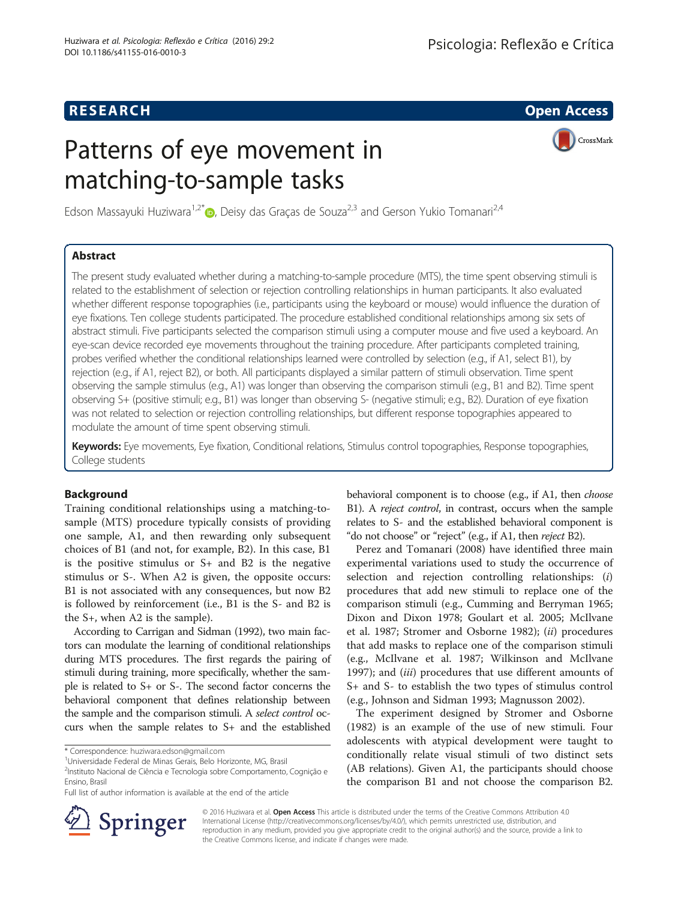## **RESEARCH CHE Open Access**

CrossMark

# Patterns of eye movement in matching-to-sample tasks

Edson Massayuki Huziwara<sup>1[,](http://orcid.org/0000-0003-4313-5821)2\*</sup> <sub>D</sub>, Deisy das Gracas de Souza<sup>2,3</sup> and Gerson Yukio Tomanari<sup>2,4</sup>

## Abstract

The present study evaluated whether during a matching-to-sample procedure (MTS), the time spent observing stimuli is related to the establishment of selection or rejection controlling relationships in human participants. It also evaluated whether different response topographies (i.e., participants using the keyboard or mouse) would influence the duration of eye fixations. Ten college students participated. The procedure established conditional relationships among six sets of abstract stimuli. Five participants selected the comparison stimuli using a computer mouse and five used a keyboard. An eye-scan device recorded eye movements throughout the training procedure. After participants completed training, probes verified whether the conditional relationships learned were controlled by selection (e.g., if A1, select B1), by rejection (e.g., if A1, reject B2), or both. All participants displayed a similar pattern of stimuli observation. Time spent observing the sample stimulus (e.g., A1) was longer than observing the comparison stimuli (e.g., B1 and B2). Time spent observing S+ (positive stimuli; e.g., B1) was longer than observing S- (negative stimuli; e.g., B2). Duration of eye fixation was not related to selection or rejection controlling relationships, but different response topographies appeared to modulate the amount of time spent observing stimuli.

Keywords: Eye movements, Eye fixation, Conditional relations, Stimulus control topographies, Response topographies, College students

## Background

Training conditional relationships using a matching-tosample (MTS) procedure typically consists of providing one sample, A1, and then rewarding only subsequent choices of B1 (and not, for example, B2). In this case, B1 is the positive stimulus or S+ and B2 is the negative stimulus or S-. When A2 is given, the opposite occurs: B1 is not associated with any consequences, but now B2 is followed by reinforcement (i.e., B1 is the S- and B2 is the S+, when A2 is the sample).

According to Carrigan and Sidman [\(1992\)](#page-9-0), two main factors can modulate the learning of conditional relationships during MTS procedures. The first regards the pairing of stimuli during training, more specifically, whether the sample is related to S+ or S-. The second factor concerns the behavioral component that defines relationship between the sample and the comparison stimuli. A select control occurs when the sample relates to S+ and the established

behavioral component is to choose (e.g., if A1, then *choose* B1). A reject control, in contrast, occurs when the sample relates to S- and the established behavioral component is "do not choose" or "reject" (e.g., if A1, then reject B2).

Perez and Tomanari ([2008](#page-9-0)) have identified three main experimental variations used to study the occurrence of selection and rejection controlling relationships: (i) procedures that add new stimuli to replace one of the comparison stimuli (e.g., Cumming and Berryman [1965](#page-9-0); Dixon and Dixon [1978](#page-9-0); Goulart et al. [2005;](#page-9-0) McIlvane et al. [1987](#page-9-0); Stromer and Osborne [1982\)](#page-9-0); (ii) procedures that add masks to replace one of the comparison stimuli (e.g., McIlvane et al. [1987;](#page-9-0) Wilkinson and McIlvane [1997](#page-9-0)); and *(iii)* procedures that use different amounts of S+ and S- to establish the two types of stimulus control (e.g., Johnson and Sidman [1993;](#page-9-0) Magnusson [2002\)](#page-9-0).

The experiment designed by Stromer and Osborne ([1982\)](#page-9-0) is an example of the use of new stimuli. Four adolescents with atypical development were taught to conditionally relate visual stimuli of two distinct sets (AB relations). Given A1, the participants should choose the comparison B1 and not choose the comparison B2.



© 2016 Huziwara et al. Open Access This article is distributed under the terms of the Creative Commons Attribution 4.0 International License ([http://creativecommons.org/licenses/by/4.0/\)](http://creativecommons.org/licenses/by/4.0/), which permits unrestricted use, distribution, and reproduction in any medium, provided you give appropriate credit to the original author(s) and the source, provide a link to the Creative Commons license, and indicate if changes were made.

<sup>\*</sup> Correspondence: [huziwara.edson@gmail.com](mailto:huziwara.edson@gmail.com) <sup>1</sup>

Universidade Federal de Minas Gerais, Belo Horizonte, MG, Brasil

<sup>&</sup>lt;sup>2</sup>Instituto Nacional de Ciência e Tecnologia sobre Comportamento, Cognição e Ensino, Brasil

Full list of author information is available at the end of the article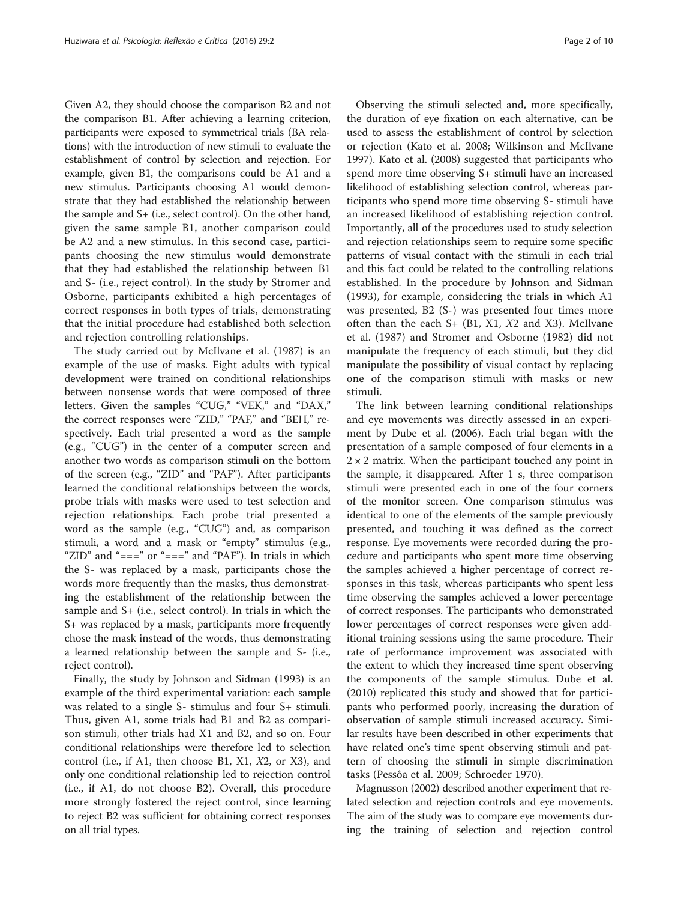Given A2, they should choose the comparison B2 and not the comparison B1. After achieving a learning criterion, participants were exposed to symmetrical trials (BA relations) with the introduction of new stimuli to evaluate the establishment of control by selection and rejection. For example, given B1, the comparisons could be A1 and a new stimulus. Participants choosing A1 would demonstrate that they had established the relationship between the sample and S+ (i.e., select control). On the other hand, given the same sample B1, another comparison could be A2 and a new stimulus. In this second case, participants choosing the new stimulus would demonstrate that they had established the relationship between B1 and S- (i.e., reject control). In the study by Stromer and Osborne, participants exhibited a high percentages of correct responses in both types of trials, demonstrating that the initial procedure had established both selection and rejection controlling relationships.

The study carried out by McIlvane et al. ([1987](#page-9-0)) is an example of the use of masks. Eight adults with typical development were trained on conditional relationships between nonsense words that were composed of three letters. Given the samples "CUG," "VEK," and "DAX," the correct responses were "ZID," "PAF," and "BEH," respectively. Each trial presented a word as the sample (e.g., "CUG") in the center of a computer screen and another two words as comparison stimuli on the bottom of the screen (e.g., "ZID" and "PAF"). After participants learned the conditional relationships between the words, probe trials with masks were used to test selection and rejection relationships. Each probe trial presented a word as the sample (e.g., "CUG") and, as comparison stimuli, a word and a mask or "empty" stimulus (e.g., "ZID" and "===" or "===" and "PAF"). In trials in which the S- was replaced by a mask, participants chose the words more frequently than the masks, thus demonstrating the establishment of the relationship between the sample and S+ (i.e., select control). In trials in which the S+ was replaced by a mask, participants more frequently chose the mask instead of the words, thus demonstrating a learned relationship between the sample and S- (i.e., reject control).

Finally, the study by Johnson and Sidman ([1993](#page-9-0)) is an example of the third experimental variation: each sample was related to a single S- stimulus and four S+ stimuli. Thus, given A1, some trials had B1 and B2 as comparison stimuli, other trials had X1 and B2, and so on. Four conditional relationships were therefore led to selection control (i.e., if A1, then choose B1, X1,  $X2$ , or X3), and only one conditional relationship led to rejection control (i.e., if A1, do not choose B2). Overall, this procedure more strongly fostered the reject control, since learning to reject B2 was sufficient for obtaining correct responses on all trial types.

Observing the stimuli selected and, more specifically, the duration of eye fixation on each alternative, can be used to assess the establishment of control by selection or rejection (Kato et al. [2008;](#page-9-0) Wilkinson and McIlvane [1997](#page-9-0)). Kato et al. ([2008](#page-9-0)) suggested that participants who spend more time observing S+ stimuli have an increased likelihood of establishing selection control, whereas participants who spend more time observing S- stimuli have an increased likelihood of establishing rejection control. Importantly, all of the procedures used to study selection and rejection relationships seem to require some specific patterns of visual contact with the stimuli in each trial and this fact could be related to the controlling relations established. In the procedure by Johnson and Sidman ([1993\)](#page-9-0), for example, considering the trials in which A1 was presented, B2 (S-) was presented four times more often than the each  $S+$  (B1, X1, X2 and X3). McIlvane et al. [\(1987](#page-9-0)) and Stromer and Osborne [\(1982](#page-9-0)) did not manipulate the frequency of each stimuli, but they did manipulate the possibility of visual contact by replacing one of the comparison stimuli with masks or new stimuli.

The link between learning conditional relationships and eye movements was directly assessed in an experiment by Dube et al. ([2006\)](#page-9-0). Each trial began with the presentation of a sample composed of four elements in a  $2 \times 2$  matrix. When the participant touched any point in the sample, it disappeared. After 1 s, three comparison stimuli were presented each in one of the four corners of the monitor screen. One comparison stimulus was identical to one of the elements of the sample previously presented, and touching it was defined as the correct response. Eye movements were recorded during the procedure and participants who spent more time observing the samples achieved a higher percentage of correct responses in this task, whereas participants who spent less time observing the samples achieved a lower percentage of correct responses. The participants who demonstrated lower percentages of correct responses were given additional training sessions using the same procedure. Their rate of performance improvement was associated with the extent to which they increased time spent observing the components of the sample stimulus. Dube et al. ([2010\)](#page-9-0) replicated this study and showed that for participants who performed poorly, increasing the duration of observation of sample stimuli increased accuracy. Similar results have been described in other experiments that have related one's time spent observing stimuli and pattern of choosing the stimuli in simple discrimination tasks (Pessôa et al. [2009](#page-9-0); Schroeder [1970](#page-9-0)).

Magnusson [\(2002](#page-9-0)) described another experiment that related selection and rejection controls and eye movements. The aim of the study was to compare eye movements during the training of selection and rejection control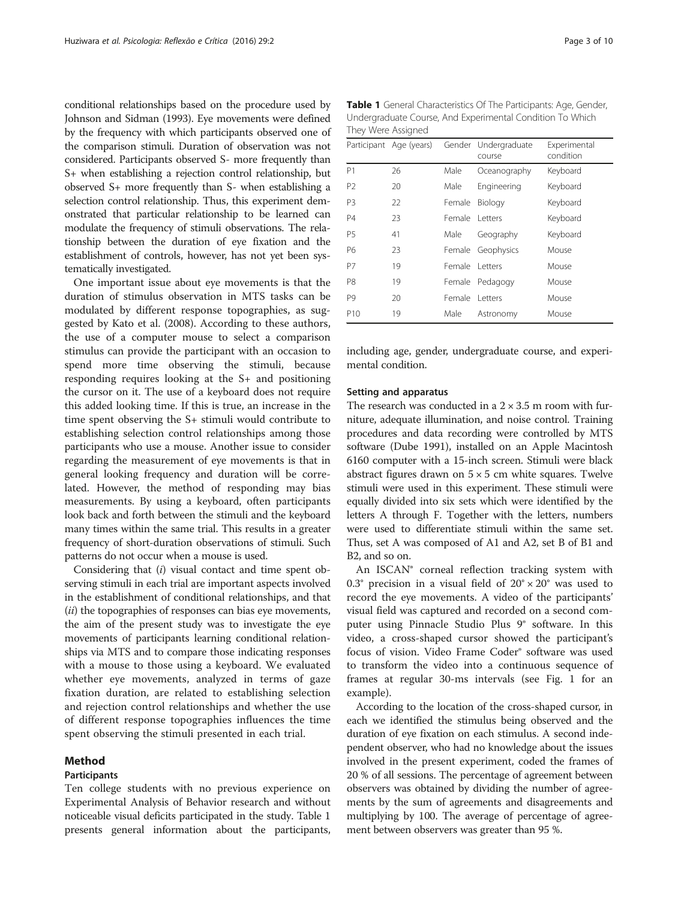conditional relationships based on the procedure used by Johnson and Sidman [\(1993](#page-9-0)). Eye movements were defined by the frequency with which participants observed one of the comparison stimuli. Duration of observation was not considered. Participants observed S- more frequently than S+ when establishing a rejection control relationship, but observed S+ more frequently than S- when establishing a selection control relationship. Thus, this experiment demonstrated that particular relationship to be learned can modulate the frequency of stimuli observations. The relationship between the duration of eye fixation and the establishment of controls, however, has not yet been systematically investigated.

One important issue about eye movements is that the duration of stimulus observation in MTS tasks can be modulated by different response topographies, as suggested by Kato et al. ([2008](#page-9-0)). According to these authors, the use of a computer mouse to select a comparison stimulus can provide the participant with an occasion to spend more time observing the stimuli, because responding requires looking at the S+ and positioning the cursor on it. The use of a keyboard does not require this added looking time. If this is true, an increase in the time spent observing the S+ stimuli would contribute to establishing selection control relationships among those participants who use a mouse. Another issue to consider regarding the measurement of eye movements is that in general looking frequency and duration will be correlated. However, the method of responding may bias measurements. By using a keyboard, often participants look back and forth between the stimuli and the keyboard many times within the same trial. This results in a greater frequency of short-duration observations of stimuli. Such patterns do not occur when a mouse is used.

Considering that (i) visual contact and time spent observing stimuli in each trial are important aspects involved in the establishment of conditional relationships, and that (*ii*) the topographies of responses can bias eye movements, the aim of the present study was to investigate the eye movements of participants learning conditional relationships via MTS and to compare those indicating responses with a mouse to those using a keyboard. We evaluated whether eye movements, analyzed in terms of gaze fixation duration, are related to establishing selection and rejection control relationships and whether the use of different response topographies influences the time spent observing the stimuli presented in each trial.

#### Method

## Participants

Ten college students with no previous experience on Experimental Analysis of Behavior research and without noticeable visual deficits participated in the study. Table 1 presents general information about the participants,

Table 1 General Characteristics Of The Participants: Age, Gender, Undergraduate Course, And Experimental Condition To Which They Were Assigned

|                 | Participant Age (years) | Gender | Undergraduate<br>course | Experimental<br>condition |
|-----------------|-------------------------|--------|-------------------------|---------------------------|
| P1              | 26                      | Male   | Oceanography            | Keyboard                  |
| P <sub>2</sub>  | 20                      | Male   | Engineering             | Keyboard                  |
| P3              | 22                      | Female | Biology                 | Keyboard                  |
| <b>P4</b>       | 23                      | Female | <b>Letters</b>          | Keyboard                  |
| <b>P5</b>       | 41                      | Male   | Geography               | Keyboard                  |
| P6              | 23                      | Female | Geophysics              | Mouse                     |
| P7              | 19                      | Female | <b>Letters</b>          | Mouse                     |
| P8              | 19                      | Female | Pedagogy                | Mouse                     |
| P9              | 20                      | Female | <b>Letters</b>          | Mouse                     |
| P <sub>10</sub> | 19                      | Male   | Astronomy               | Mouse                     |

including age, gender, undergraduate course, and experimental condition.

#### Setting and apparatus

The research was conducted in a  $2 \times 3.5$  m room with furniture, adequate illumination, and noise control. Training procedures and data recording were controlled by MTS software (Dube [1991](#page-9-0)), installed on an Apple Macintosh 6160 computer with a 15-inch screen. Stimuli were black abstract figures drawn on  $5 \times 5$  cm white squares. Twelve stimuli were used in this experiment. These stimuli were equally divided into six sets which were identified by the letters A through F. Together with the letters, numbers were used to differentiate stimuli within the same set. Thus, set A was composed of A1 and A2, set B of B1 and B2, and so on.

An ISCAN® corneal reflection tracking system with 0.3° precision in a visual field of  $20^{\circ} \times 20^{\circ}$  was used to record the eye movements. A video of the participants' visual field was captured and recorded on a second computer using Pinnacle Studio Plus 9® software. In this video, a cross-shaped cursor showed the participant's focus of vision. Video Frame Coder® software was used to transform the video into a continuous sequence of frames at regular 30-ms intervals (see Fig. [1](#page-3-0) for an example).

According to the location of the cross-shaped cursor, in each we identified the stimulus being observed and the duration of eye fixation on each stimulus. A second independent observer, who had no knowledge about the issues involved in the present experiment, coded the frames of 20 % of all sessions. The percentage of agreement between observers was obtained by dividing the number of agreements by the sum of agreements and disagreements and multiplying by 100. The average of percentage of agreement between observers was greater than 95 %.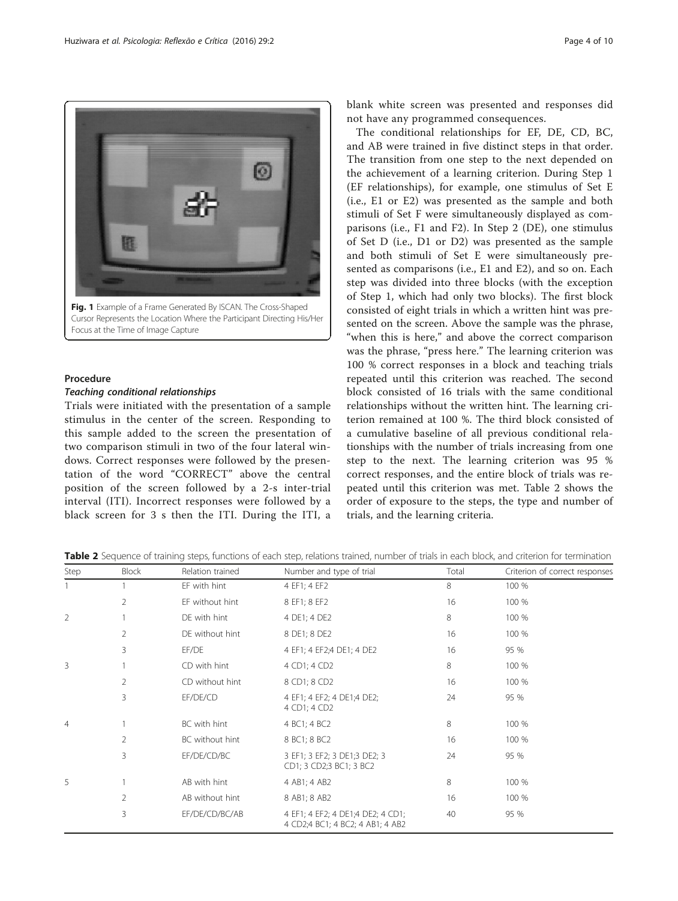<span id="page-3-0"></span>

Cursor Represents the Location Where the Participant Directing His/Her Focus at the Time of Image Capture

### Procedure

#### Teaching conditional relationships

Trials were initiated with the presentation of a sample stimulus in the center of the screen. Responding to this sample added to the screen the presentation of two comparison stimuli in two of the four lateral windows. Correct responses were followed by the presentation of the word "CORRECT" above the central position of the screen followed by a 2-s inter-trial interval (ITI). Incorrect responses were followed by a black screen for 3 s then the ITI. During the ITI, a

blank white screen was presented and responses did not have any programmed consequences.

The conditional relationships for EF, DE, CD, BC, and AB were trained in five distinct steps in that order. The transition from one step to the next depended on the achievement of a learning criterion. During Step 1 (EF relationships), for example, one stimulus of Set E (i.e., E1 or E2) was presented as the sample and both stimuli of Set F were simultaneously displayed as comparisons (i.e., F1 and F2). In Step 2 (DE), one stimulus of Set D (i.e., D1 or D2) was presented as the sample and both stimuli of Set E were simultaneously presented as comparisons (i.e., E1 and E2), and so on. Each step was divided into three blocks (with the exception of Step 1, which had only two blocks). The first block consisted of eight trials in which a written hint was presented on the screen. Above the sample was the phrase, "when this is here," and above the correct comparison was the phrase, "press here." The learning criterion was 100 % correct responses in a block and teaching trials repeated until this criterion was reached. The second block consisted of 16 trials with the same conditional relationships without the written hint. The learning criterion remained at 100 %. The third block consisted of a cumulative baseline of all previous conditional relationships with the number of trials increasing from one step to the next. The learning criterion was 95 % correct responses, and the entire block of trials was repeated until this criterion was met. Table 2 shows the order of exposure to the steps, the type and number of trials, and the learning criteria.

| Step           | <b>Block</b> | Relation trained | Number and type of trial                                              | Total | Criterion of correct responses |
|----------------|--------------|------------------|-----------------------------------------------------------------------|-------|--------------------------------|
|                |              | EF with hint     | 4 EF1; 4 EF2                                                          | 8     | 100 %                          |
|                | 2            | EF without hint  | 8 EF1; 8 EF2                                                          | 16    | 100 %                          |
| $\overline{2}$ |              | DE with hint     | 4 DE1; 4 DE2                                                          | 8     | 100 %                          |
|                | 2            | DE without hint  | 8 DE1; 8 DE2                                                          | 16    | 100 %                          |
|                | 3            | EF/DE            | 4 EF1; 4 EF2; 4 DE1; 4 DE2                                            | 16    | 95 %                           |
| 3              |              | CD with hint     | 4 CD1; 4 CD2                                                          | 8     | 100 %                          |
|                | 2            | CD without hint  | 8 CD1; 8 CD2                                                          | 16    | 100 %                          |
|                | 3            | EF/DE/CD         | 4 EF1; 4 EF2; 4 DE1;4 DE2;<br>4 CD1; 4 CD2                            | 24    | 95 %                           |
| $\overline{4}$ |              | BC with hint     | 4 BC1; 4 BC2                                                          | 8     | 100 %                          |
|                | 2            | BC without hint  | 8 BC1; 8 BC2                                                          | 16    | 100 %                          |
|                | 3            | EF/DE/CD/BC      | 3 EF1; 3 EF2; 3 DE1; 3 DE2; 3<br>CD1; 3 CD2; 3 BC1; 3 BC2             | 24    | 95 %                           |
| 5              |              | AB with hint     | 4 AB1; 4 AB2                                                          | 8     | 100 %                          |
|                | 2            | AB without hint  | 8 AB1; 8 AB2                                                          | 16    | 100 %                          |
|                | 3            | EF/DE/CD/BC/AB   | 4 EF1; 4 EF2; 4 DE1;4 DE2; 4 CD1;<br>4 CD2;4 BC1; 4 BC2; 4 AB1; 4 AB2 | 40    | 95 %                           |

Table 2 Sequence of training steps, functions of each step, relations trained, number of trials in each block, and criterion for termination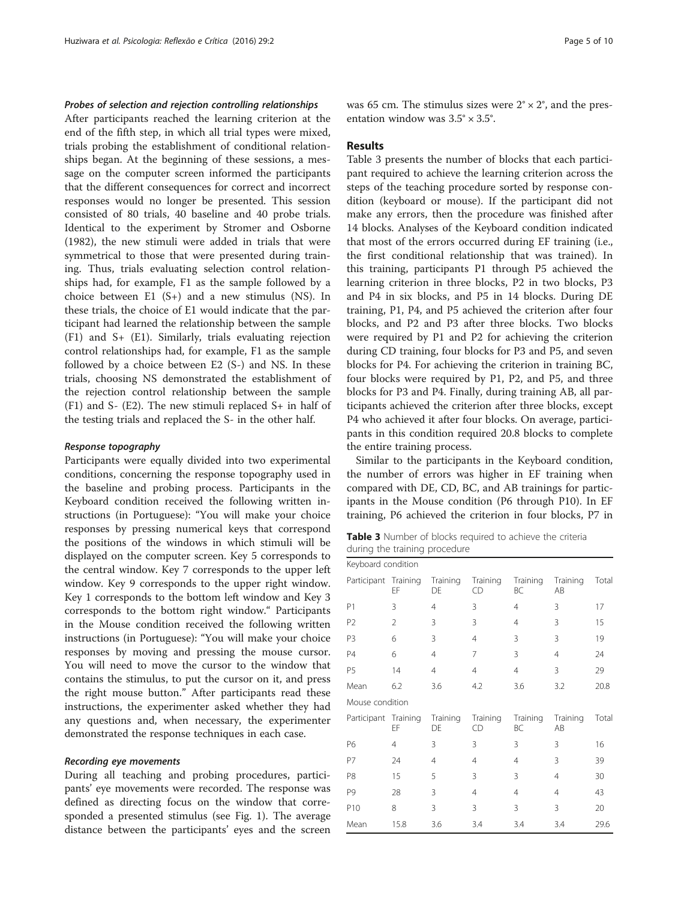#### Probes of selection and rejection controlling relationships

After participants reached the learning criterion at the end of the fifth step, in which all trial types were mixed, trials probing the establishment of conditional relationships began. At the beginning of these sessions, a message on the computer screen informed the participants that the different consequences for correct and incorrect responses would no longer be presented. This session consisted of 80 trials, 40 baseline and 40 probe trials. Identical to the experiment by Stromer and Osborne ([1982](#page-9-0)), the new stimuli were added in trials that were symmetrical to those that were presented during training. Thus, trials evaluating selection control relationships had, for example, F1 as the sample followed by a choice between  $E1$  (S+) and a new stimulus (NS). In these trials, the choice of E1 would indicate that the participant had learned the relationship between the sample (F1) and S+ (E1). Similarly, trials evaluating rejection control relationships had, for example, F1 as the sample followed by a choice between E2 (S-) and NS. In these trials, choosing NS demonstrated the establishment of the rejection control relationship between the sample (F1) and S- (E2). The new stimuli replaced S+ in half of the testing trials and replaced the S- in the other half.

#### Response topography

Participants were equally divided into two experimental conditions, concerning the response topography used in the baseline and probing process. Participants in the Keyboard condition received the following written instructions (in Portuguese): "You will make your choice responses by pressing numerical keys that correspond the positions of the windows in which stimuli will be displayed on the computer screen. Key 5 corresponds to the central window. Key 7 corresponds to the upper left window. Key 9 corresponds to the upper right window. Key 1 corresponds to the bottom left window and Key 3 corresponds to the bottom right window." Participants in the Mouse condition received the following written instructions (in Portuguese): "You will make your choice responses by moving and pressing the mouse cursor. You will need to move the cursor to the window that contains the stimulus, to put the cursor on it, and press the right mouse button." After participants read these instructions, the experimenter asked whether they had any questions and, when necessary, the experimenter demonstrated the response techniques in each case.

#### Recording eye movements

During all teaching and probing procedures, participants' eye movements were recorded. The response was defined as directing focus on the window that corresponded a presented stimulus (see Fig. [1](#page-3-0)). The average distance between the participants' eyes and the screen was 65 cm. The stimulus sizes were  $2^{\circ} \times 2^{\circ}$ , and the presentation window was  $3.5^{\circ} \times 3.5^{\circ}$ .

#### Results

Table 3 presents the number of blocks that each participant required to achieve the learning criterion across the steps of the teaching procedure sorted by response condition (keyboard or mouse). If the participant did not make any errors, then the procedure was finished after 14 blocks. Analyses of the Keyboard condition indicated that most of the errors occurred during EF training (i.e., the first conditional relationship that was trained). In this training, participants P1 through P5 achieved the learning criterion in three blocks, P2 in two blocks, P3 and P4 in six blocks, and P5 in 14 blocks. During DE training, P1, P4, and P5 achieved the criterion after four blocks, and P2 and P3 after three blocks. Two blocks were required by P1 and P2 for achieving the criterion during CD training, four blocks for P3 and P5, and seven blocks for P4. For achieving the criterion in training BC, four blocks were required by P1, P2, and P5, and three blocks for P3 and P4. Finally, during training AB, all participants achieved the criterion after three blocks, except P4 who achieved it after four blocks. On average, participants in this condition required 20.8 blocks to complete the entire training process.

Similar to the participants in the Keyboard condition, the number of errors was higher in EF training when compared with DE, CD, BC, and AB trainings for participants in the Mouse condition (P6 through P10). In EF training, P6 achieved the criterion in four blocks, P7 in

Table 3 Number of blocks required to achieve the criteria during the training procedure

| Keyboard condition   |                |                |                |                |                |       |  |
|----------------------|----------------|----------------|----------------|----------------|----------------|-------|--|
| Participant Training | EF             | Training<br>DE | Training<br>CD | Training<br>BC | Training<br>AB | Total |  |
| P1                   | 3              | 4              | 3              | 4              | 3              | 17    |  |
| P <sub>2</sub>       | $\overline{2}$ | 3              | 3              | 4              | 3              | 15    |  |
| P <sub>3</sub>       | 6              | 3              | $\overline{4}$ | 3              | 3              | 19    |  |
| P4                   | 6              | $\overline{4}$ | 7              | 3              | 4              | 24    |  |
| P <sub>5</sub>       | 14             | $\overline{4}$ | $\overline{4}$ | $\overline{4}$ | 3              | 29    |  |
| Mean                 | 6.2            | 3.6            | 4.2            | 3.6            | 3.2            | 20.8  |  |
| Mouse condition      |                |                |                |                |                |       |  |
| Participant Training | EF             | Training<br>DE | Training<br>CD | Training<br>BC | Training<br>AB | Total |  |
| P6                   | $\overline{4}$ | 3              | 3              | 3              | 3              | 16    |  |
| P7                   | 24             | 4              | 4              | 4              | 3              | 39    |  |
| P8                   | 15             | 5              | 3              | 3              | 4              | 30    |  |
| P9                   | 28             | 3              | $\overline{4}$ | 4              | 4              | 43    |  |
| P10                  | 8              | 3              | 3              | 3              | 3              | 20    |  |
| Mean                 | 15.8           | 3.6            | 3.4            | 3.4            | 3.4            | 29.6  |  |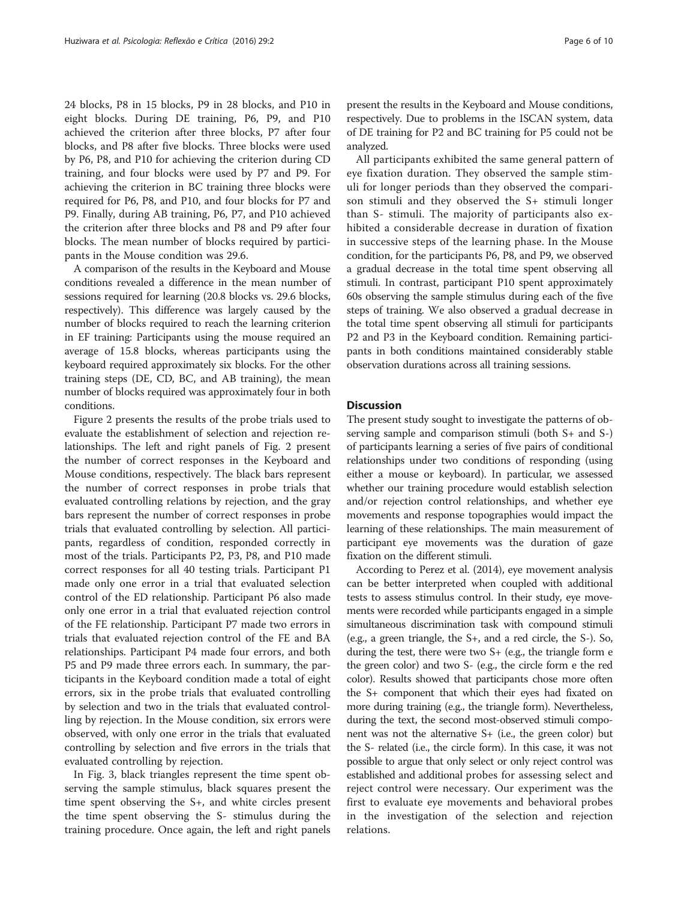24 blocks, P8 in 15 blocks, P9 in 28 blocks, and P10 in eight blocks. During DE training, P6, P9, and P10 achieved the criterion after three blocks, P7 after four blocks, and P8 after five blocks. Three blocks were used by P6, P8, and P10 for achieving the criterion during CD training, and four blocks were used by P7 and P9. For achieving the criterion in BC training three blocks were required for P6, P8, and P10, and four blocks for P7 and P9. Finally, during AB training, P6, P7, and P10 achieved the criterion after three blocks and P8 and P9 after four blocks. The mean number of blocks required by participants in the Mouse condition was 29.6.

A comparison of the results in the Keyboard and Mouse conditions revealed a difference in the mean number of sessions required for learning (20.8 blocks vs. 29.6 blocks, respectively). This difference was largely caused by the number of blocks required to reach the learning criterion in EF training: Participants using the mouse required an average of 15.8 blocks, whereas participants using the keyboard required approximately six blocks. For the other training steps (DE, CD, BC, and AB training), the mean number of blocks required was approximately four in both conditions.

Figure [2](#page-6-0) presents the results of the probe trials used to evaluate the establishment of selection and rejection relationships. The left and right panels of Fig. [2](#page-6-0) present the number of correct responses in the Keyboard and Mouse conditions, respectively. The black bars represent the number of correct responses in probe trials that evaluated controlling relations by rejection, and the gray bars represent the number of correct responses in probe trials that evaluated controlling by selection. All participants, regardless of condition, responded correctly in most of the trials. Participants P2, P3, P8, and P10 made correct responses for all 40 testing trials. Participant P1 made only one error in a trial that evaluated selection control of the ED relationship. Participant P6 also made only one error in a trial that evaluated rejection control of the FE relationship. Participant P7 made two errors in trials that evaluated rejection control of the FE and BA relationships. Participant P4 made four errors, and both P5 and P9 made three errors each. In summary, the participants in the Keyboard condition made a total of eight errors, six in the probe trials that evaluated controlling by selection and two in the trials that evaluated controlling by rejection. In the Mouse condition, six errors were observed, with only one error in the trials that evaluated controlling by selection and five errors in the trials that evaluated controlling by rejection.

In Fig. [3](#page-7-0), black triangles represent the time spent observing the sample stimulus, black squares present the time spent observing the S+, and white circles present the time spent observing the S- stimulus during the training procedure. Once again, the left and right panels

present the results in the Keyboard and Mouse conditions, respectively. Due to problems in the ISCAN system, data of DE training for P2 and BC training for P5 could not be analyzed.

All participants exhibited the same general pattern of eye fixation duration. They observed the sample stimuli for longer periods than they observed the comparison stimuli and they observed the S+ stimuli longer than S- stimuli. The majority of participants also exhibited a considerable decrease in duration of fixation in successive steps of the learning phase. In the Mouse condition, for the participants P6, P8, and P9, we observed a gradual decrease in the total time spent observing all stimuli. In contrast, participant P10 spent approximately 60s observing the sample stimulus during each of the five steps of training. We also observed a gradual decrease in the total time spent observing all stimuli for participants P2 and P3 in the Keyboard condition. Remaining participants in both conditions maintained considerably stable observation durations across all training sessions.

#### **Discussion**

The present study sought to investigate the patterns of observing sample and comparison stimuli (both S+ and S-) of participants learning a series of five pairs of conditional relationships under two conditions of responding (using either a mouse or keyboard). In particular, we assessed whether our training procedure would establish selection and/or rejection control relationships, and whether eye movements and response topographies would impact the learning of these relationships. The main measurement of participant eye movements was the duration of gaze fixation on the different stimuli.

According to Perez et al. ([2014](#page-9-0)), eye movement analysis can be better interpreted when coupled with additional tests to assess stimulus control. In their study, eye movements were recorded while participants engaged in a simple simultaneous discrimination task with compound stimuli (e.g., a green triangle, the S+, and a red circle, the S-). So, during the test, there were two S+ (e.g., the triangle form e the green color) and two S- (e.g., the circle form e the red color). Results showed that participants chose more often the S+ component that which their eyes had fixated on more during training (e.g., the triangle form). Nevertheless, during the text, the second most-observed stimuli component was not the alternative S+ (i.e., the green color) but the S- related (i.e., the circle form). In this case, it was not possible to argue that only select or only reject control was established and additional probes for assessing select and reject control were necessary. Our experiment was the first to evaluate eye movements and behavioral probes in the investigation of the selection and rejection relations.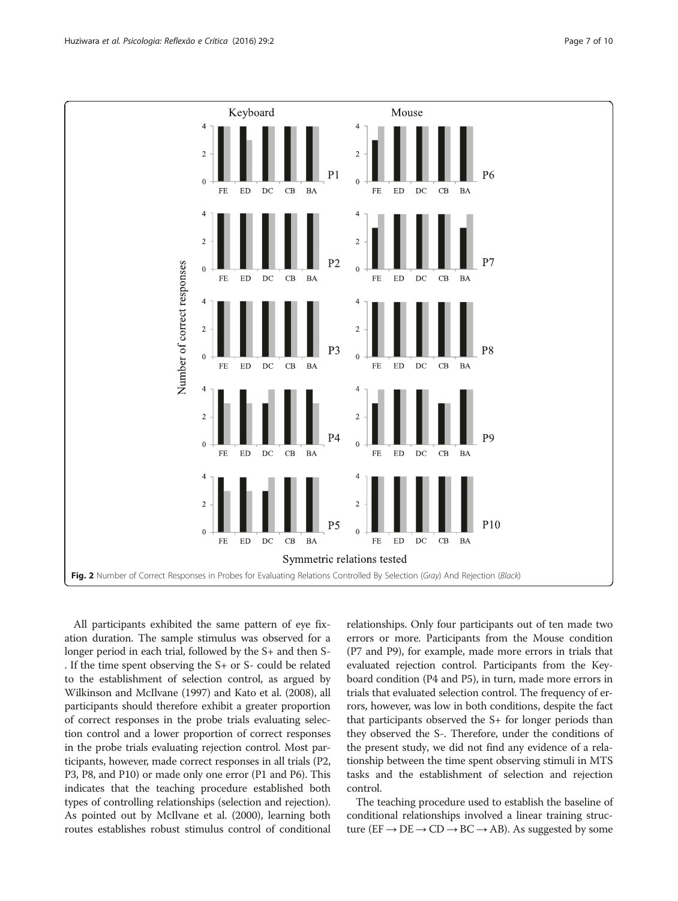<span id="page-6-0"></span>

All participants exhibited the same pattern of eye fixation duration. The sample stimulus was observed for a longer period in each trial, followed by the S+ and then S- . If the time spent observing the S+ or S- could be related to the establishment of selection control, as argued by Wilkinson and McIlvane ([1997](#page-9-0)) and Kato et al. ([2008\)](#page-9-0), all participants should therefore exhibit a greater proportion of correct responses in the probe trials evaluating selection control and a lower proportion of correct responses in the probe trials evaluating rejection control. Most participants, however, made correct responses in all trials (P2, P3, P8, and P10) or made only one error (P1 and P6). This indicates that the teaching procedure established both types of controlling relationships (selection and rejection). As pointed out by McIlvane et al. ([2000](#page-9-0)), learning both routes establishes robust stimulus control of conditional relationships. Only four participants out of ten made two errors or more. Participants from the Mouse condition (P7 and P9), for example, made more errors in trials that evaluated rejection control. Participants from the Keyboard condition (P4 and P5), in turn, made more errors in trials that evaluated selection control. The frequency of errors, however, was low in both conditions, despite the fact that participants observed the S+ for longer periods than they observed the S-. Therefore, under the conditions of the present study, we did not find any evidence of a relationship between the time spent observing stimuli in MTS tasks and the establishment of selection and rejection control.

The teaching procedure used to establish the baseline of conditional relationships involved a linear training structure ( $EF \rightarrow DE \rightarrow CD \rightarrow BC \rightarrow AB$ ). As suggested by some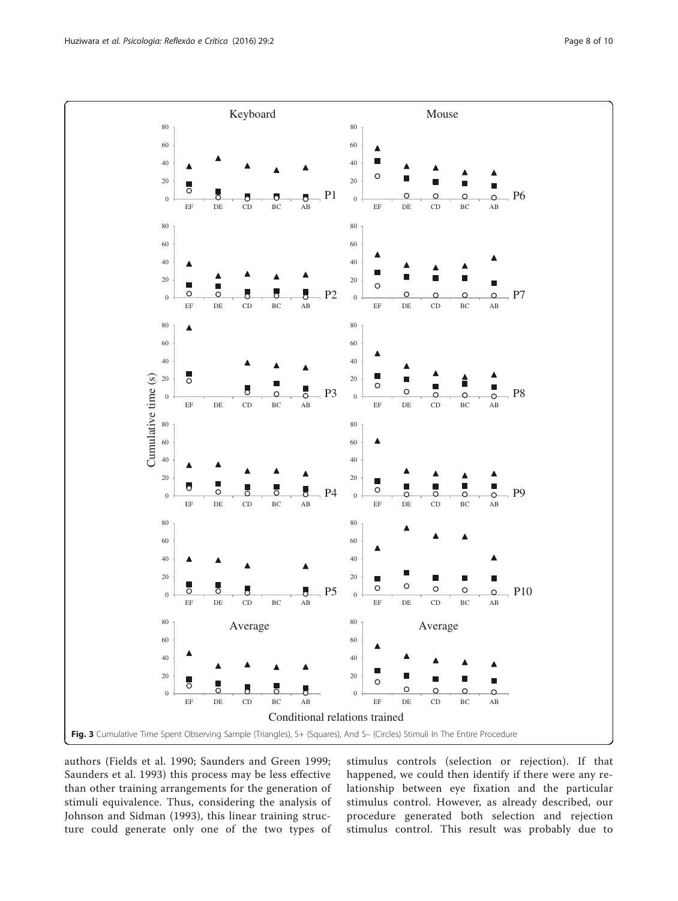<span id="page-7-0"></span>

authors (Fields et al. [1990](#page-9-0); Saunders and Green [1999](#page-9-0); Saunders et al. [1993\)](#page-9-0) this process may be less effective than other training arrangements for the generation of stimuli equivalence. Thus, considering the analysis of Johnson and Sidman ([1993\)](#page-9-0), this linear training structure could generate only one of the two types of stimulus controls (selection or rejection). If that happened, we could then identify if there were any relationship between eye fixation and the particular stimulus control. However, as already described, our procedure generated both selection and rejection stimulus control. This result was probably due to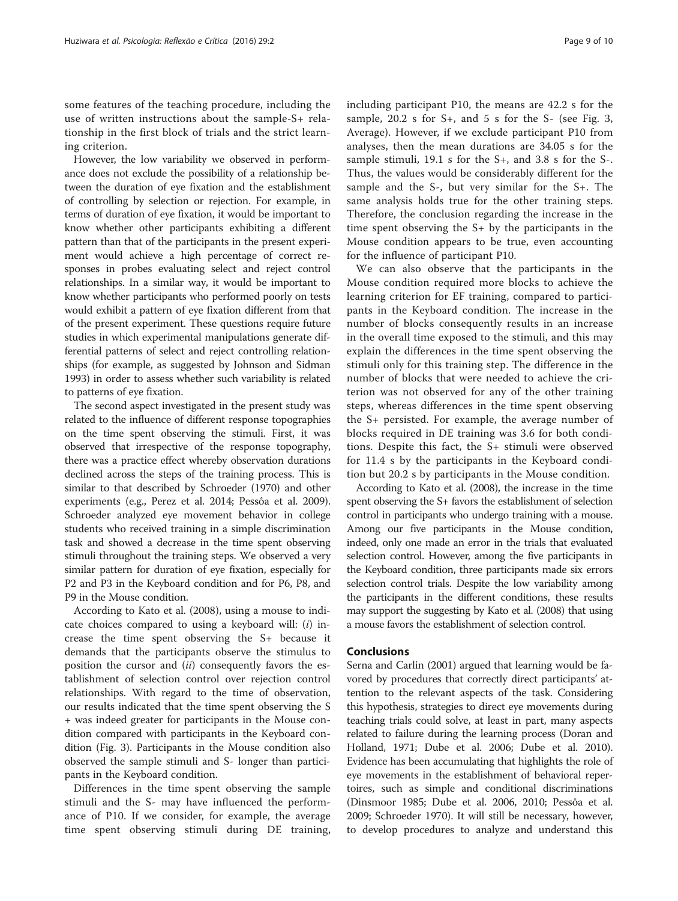some features of the teaching procedure, including the use of written instructions about the sample-S+ relationship in the first block of trials and the strict learning criterion.

However, the low variability we observed in performance does not exclude the possibility of a relationship between the duration of eye fixation and the establishment of controlling by selection or rejection. For example, in terms of duration of eye fixation, it would be important to know whether other participants exhibiting a different pattern than that of the participants in the present experiment would achieve a high percentage of correct responses in probes evaluating select and reject control relationships. In a similar way, it would be important to know whether participants who performed poorly on tests would exhibit a pattern of eye fixation different from that of the present experiment. These questions require future studies in which experimental manipulations generate differential patterns of select and reject controlling relationships (for example, as suggested by Johnson and Sidman [1993\)](#page-9-0) in order to assess whether such variability is related to patterns of eye fixation.

The second aspect investigated in the present study was related to the influence of different response topographies on the time spent observing the stimuli. First, it was observed that irrespective of the response topography, there was a practice effect whereby observation durations declined across the steps of the training process. This is similar to that described by Schroeder ([1970](#page-9-0)) and other experiments (e.g., Perez et al. [2014;](#page-9-0) Pessôa et al. [2009](#page-9-0)). Schroeder analyzed eye movement behavior in college students who received training in a simple discrimination task and showed a decrease in the time spent observing stimuli throughout the training steps. We observed a very similar pattern for duration of eye fixation, especially for P2 and P3 in the Keyboard condition and for P6, P8, and P9 in the Mouse condition.

According to Kato et al. ([2008](#page-9-0)), using a mouse to indicate choices compared to using a keyboard will:  $(i)$  increase the time spent observing the S+ because it demands that the participants observe the stimulus to position the cursor and  $(ii)$  consequently favors the establishment of selection control over rejection control relationships. With regard to the time of observation, our results indicated that the time spent observing the S + was indeed greater for participants in the Mouse condition compared with participants in the Keyboard condition (Fig. [3\)](#page-7-0). Participants in the Mouse condition also observed the sample stimuli and S- longer than participants in the Keyboard condition.

Differences in the time spent observing the sample stimuli and the S- may have influenced the performance of P10. If we consider, for example, the average time spent observing stimuli during DE training, including participant P10, the means are 42.2 s for the sample, 20.2 s for S+, and 5 s for the S- (see Fig. [3](#page-7-0), Average). However, if we exclude participant P10 from analyses, then the mean durations are 34.05 s for the sample stimuli, 19.1 s for the S+, and 3.8 s for the S-. Thus, the values would be considerably different for the sample and the S-, but very similar for the S+. The same analysis holds true for the other training steps. Therefore, the conclusion regarding the increase in the time spent observing the S+ by the participants in the Mouse condition appears to be true, even accounting

for the influence of participant P10.

We can also observe that the participants in the Mouse condition required more blocks to achieve the learning criterion for EF training, compared to participants in the Keyboard condition. The increase in the number of blocks consequently results in an increase in the overall time exposed to the stimuli, and this may explain the differences in the time spent observing the stimuli only for this training step. The difference in the number of blocks that were needed to achieve the criterion was not observed for any of the other training steps, whereas differences in the time spent observing the S+ persisted. For example, the average number of blocks required in DE training was 3.6 for both conditions. Despite this fact, the S+ stimuli were observed for 11.4 s by the participants in the Keyboard condition but 20.2 s by participants in the Mouse condition.

According to Kato et al. ([2008\)](#page-9-0), the increase in the time spent observing the S+ favors the establishment of selection control in participants who undergo training with a mouse. Among our five participants in the Mouse condition, indeed, only one made an error in the trials that evaluated selection control. However, among the five participants in the Keyboard condition, three participants made six errors selection control trials. Despite the low variability among the participants in the different conditions, these results may support the suggesting by Kato et al. [\(2008](#page-9-0)) that using a mouse favors the establishment of selection control.

#### Conclusions

Serna and Carlin ([2001\)](#page-9-0) argued that learning would be favored by procedures that correctly direct participants' attention to the relevant aspects of the task. Considering this hypothesis, strategies to direct eye movements during teaching trials could solve, at least in part, many aspects related to failure during the learning process (Doran and Holland, [1971;](#page-9-0) Dube et al. [2006;](#page-9-0) Dube et al. [2010](#page-9-0)). Evidence has been accumulating that highlights the role of eye movements in the establishment of behavioral repertoires, such as simple and conditional discriminations (Dinsmoor [1985](#page-9-0); Dube et al. [2006](#page-9-0), [2010](#page-9-0); Pessôa et al. [2009](#page-9-0); Schroeder [1970\)](#page-9-0). It will still be necessary, however, to develop procedures to analyze and understand this